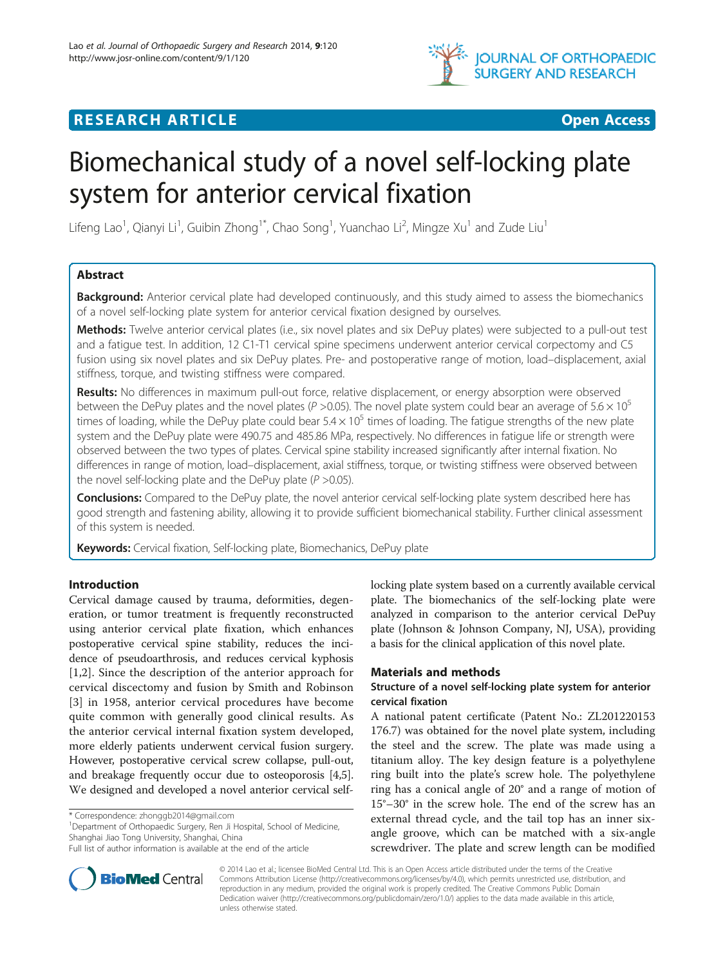

## **RESEARCH ARTICLE Example 2014 CONSIDERING CONSIDERING CONSIDERING CONSIDERING CONSIDERING CONSIDERING CONSIDERING CONSIDERING CONSIDERING CONSIDERING CONSIDERING CONSIDERING CONSIDERING CONSIDERING CONSIDERING CONSIDE**

# Biomechanical study of a novel self-locking plate system for anterior cervical fixation

Lifeng Lao<sup>1</sup>, Qianyi Li<sup>1</sup>, Guibin Zhong<sup>1\*</sup>, Chao Song<sup>1</sup>, Yuanchao Li<sup>2</sup>, Mingze Xu<sup>1</sup> and Zude Liu<sup>1</sup>

## Abstract

**Background:** Anterior cervical plate had developed continuously, and this study aimed to assess the biomechanics of a novel self-locking plate system for anterior cervical fixation designed by ourselves.

Methods: Twelve anterior cervical plates (i.e., six novel plates and six DePuy plates) were subjected to a pull-out test and a fatigue test. In addition, 12 C1-T1 cervical spine specimens underwent anterior cervical corpectomy and C5 fusion using six novel plates and six DePuy plates. Pre- and postoperative range of motion, load–displacement, axial stiffness, torque, and twisting stiffness were compared.

Results: No differences in maximum pull-out force, relative displacement, or energy absorption were observed between the DePuy plates and the novel plates (P > 0.05). The novel plate system could bear an average of 5.6  $\times$  10<sup>5</sup> times of loading, while the DePuy plate could bear  $5.4 \times 10^5$  times of loading. The fatigue strengths of the new plate system and the DePuy plate were 490.75 and 485.86 MPa, respectively. No differences in fatigue life or strength were observed between the two types of plates. Cervical spine stability increased significantly after internal fixation. No differences in range of motion, load–displacement, axial stiffness, torque, or twisting stiffness were observed between the novel self-locking plate and the DePuy plate ( $P > 0.05$ ).

Conclusions: Compared to the DePuy plate, the novel anterior cervical self-locking plate system described here has good strength and fastening ability, allowing it to provide sufficient biomechanical stability. Further clinical assessment of this system is needed.

Keywords: Cervical fixation, Self-locking plate, Biomechanics, DePuy plate

## Introduction

Cervical damage caused by trauma, deformities, degeneration, or tumor treatment is frequently reconstructed using anterior cervical plate fixation, which enhances postoperative cervical spine stability, reduces the incidence of pseudoarthrosis, and reduces cervical kyphosis [[1,2](#page-6-0)]. Since the description of the anterior approach for cervical discectomy and fusion by Smith and Robinson [[3\]](#page-6-0) in 1958, anterior cervical procedures have become quite common with generally good clinical results. As the anterior cervical internal fixation system developed, more elderly patients underwent cervical fusion surgery. However, postoperative cervical screw collapse, pull-out, and breakage frequently occur due to osteoporosis [[4](#page-6-0),[5](#page-6-0)]. We designed and developed a novel anterior cervical self-

<sup>1</sup>Department of Orthopaedic Surgery, Ren Ji Hospital, School of Medicine, Shanghai Jiao Tong University, Shanghai, China

locking plate system based on a currently available cervical plate. The biomechanics of the self-locking plate were analyzed in comparison to the anterior cervical DePuy plate (Johnson & Johnson Company, NJ, USA), providing a basis for the clinical application of this novel plate.

#### Materials and methods

## Structure of a novel self-locking plate system for anterior cervical fixation

A national patent certificate (Patent No.: ZL201220153 176.7) was obtained for the novel plate system, including the steel and the screw. The plate was made using a titanium alloy. The key design feature is a polyethylene ring built into the plate's screw hole. The polyethylene ring has a conical angle of 20° and a range of motion of 15°–30° in the screw hole. The end of the screw has an external thread cycle, and the tail top has an inner sixangle groove, which can be matched with a six-angle screwdriver. The plate and screw length can be modified



© 2014 Lao et al.; licensee BioMed Central Ltd. This is an Open Access article distributed under the terms of the Creative Commons Attribution License [\(http://creativecommons.org/licenses/by/4.0\)](http://creativecommons.org/licenses/by/4.0), which permits unrestricted use, distribution, and reproduction in any medium, provided the original work is properly credited. The Creative Commons Public Domain Dedication waiver [\(http://creativecommons.org/publicdomain/zero/1.0/](http://creativecommons.org/publicdomain/zero/1.0/)) applies to the data made available in this article, unless otherwise stated.

<sup>\*</sup> Correspondence: [zhonggb2014@gmail.com](mailto:zhonggb2014@gmail.com) <sup>1</sup>

Full list of author information is available at the end of the article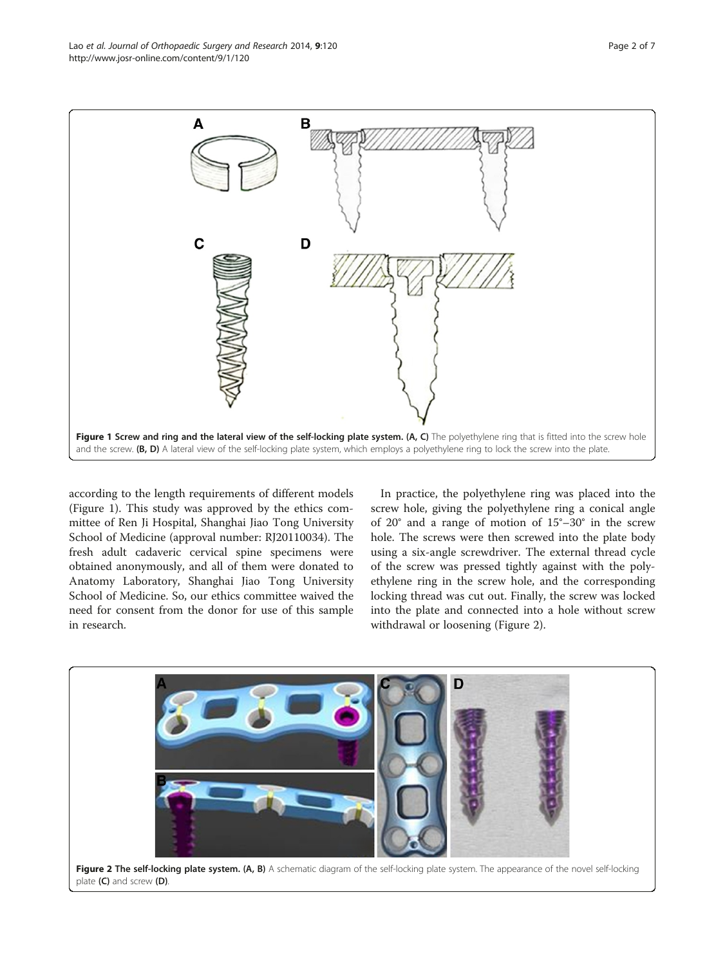Lao et al. Journal of Orthopaedic Surgery and Research 2014, 9:120 http://www.josr-online.com/content/9/1/120



according to the length requirements of different models (Figure 1). This study was approved by the ethics committee of Ren Ji Hospital, Shanghai Jiao Tong University School of Medicine (approval number: RJ20110034). The fresh adult cadaveric cervical spine specimens were obtained anonymously, and all of them were donated to Anatomy Laboratory, Shanghai Jiao Tong University School of Medicine. So, our ethics committee waived the need for consent from the donor for use of this sample in research.

In practice, the polyethylene ring was placed into the screw hole, giving the polyethylene ring a conical angle of 20° and a range of motion of 15°–30° in the screw hole. The screws were then screwed into the plate body using a six-angle screwdriver. The external thread cycle of the screw was pressed tightly against with the polyethylene ring in the screw hole, and the corresponding locking thread was cut out. Finally, the screw was locked into the plate and connected into a hole without screw withdrawal or loosening (Figure 2).

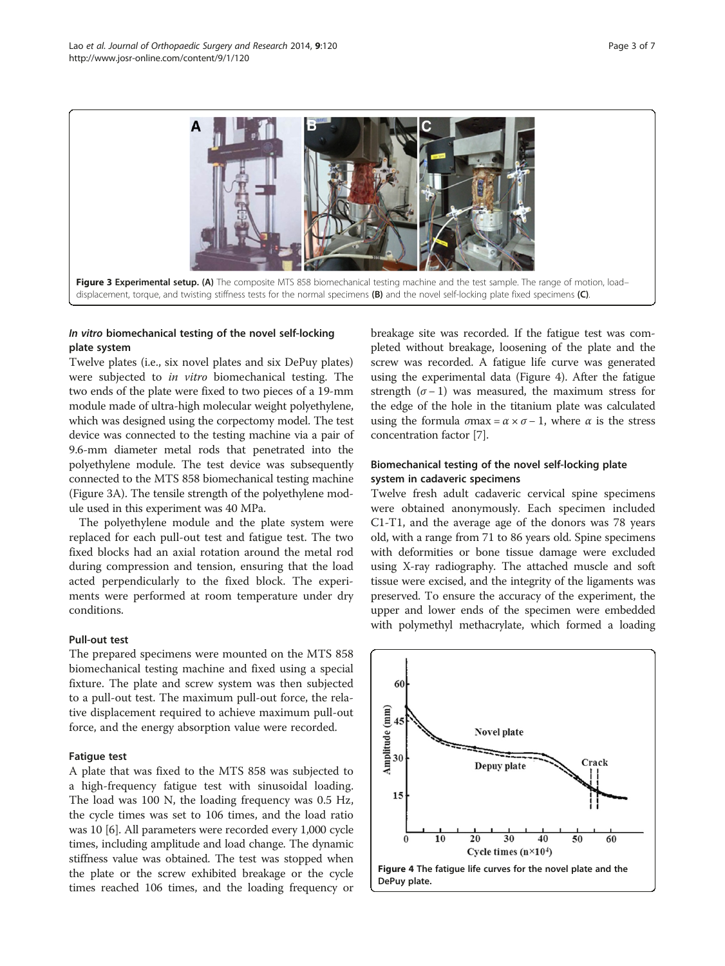<span id="page-2-0"></span>

## In vitro biomechanical testing of the novel self-locking plate system

Twelve plates (i.e., six novel plates and six DePuy plates) were subjected to in vitro biomechanical testing. The two ends of the plate were fixed to two pieces of a 19-mm module made of ultra-high molecular weight polyethylene, which was designed using the corpectomy model. The test device was connected to the testing machine via a pair of 9.6-mm diameter metal rods that penetrated into the polyethylene module. The test device was subsequently connected to the MTS 858 biomechanical testing machine (Figure 3A). The tensile strength of the polyethylene module used in this experiment was 40 MPa.

The polyethylene module and the plate system were replaced for each pull-out test and fatigue test. The two fixed blocks had an axial rotation around the metal rod during compression and tension, ensuring that the load acted perpendicularly to the fixed block. The experiments were performed at room temperature under dry conditions.

#### Pull-out test

The prepared specimens were mounted on the MTS 858 biomechanical testing machine and fixed using a special fixture. The plate and screw system was then subjected to a pull-out test. The maximum pull-out force, the relative displacement required to achieve maximum pull-out force, and the energy absorption value were recorded.

#### Fatigue test

A plate that was fixed to the MTS 858 was subjected to a high-frequency fatigue test with sinusoidal loading. The load was 100 N, the loading frequency was 0.5 Hz, the cycle times was set to 106 times, and the load ratio was 10 [[6](#page-6-0)]. All parameters were recorded every 1,000 cycle times, including amplitude and load change. The dynamic stiffness value was obtained. The test was stopped when the plate or the screw exhibited breakage or the cycle times reached 106 times, and the loading frequency or breakage site was recorded. If the fatigue test was completed without breakage, loosening of the plate and the screw was recorded. A fatigue life curve was generated using the experimental data (Figure 4). After the fatigue strength  $(σ – 1)$  was measured, the maximum stress for the edge of the hole in the titanium plate was calculated using the formula  $\sigma$ max =  $\alpha \times \sigma$  – 1, where  $\alpha$  is the stress concentration factor [[7](#page-6-0)].

## Biomechanical testing of the novel self-locking plate system in cadaveric specimens

Twelve fresh adult cadaveric cervical spine specimens were obtained anonymously. Each specimen included C1-T1, and the average age of the donors was 78 years old, with a range from 71 to 86 years old. Spine specimens with deformities or bone tissue damage were excluded using X-ray radiography. The attached muscle and soft tissue were excised, and the integrity of the ligaments was preserved. To ensure the accuracy of the experiment, the upper and lower ends of the specimen were embedded with polymethyl methacrylate, which formed a loading

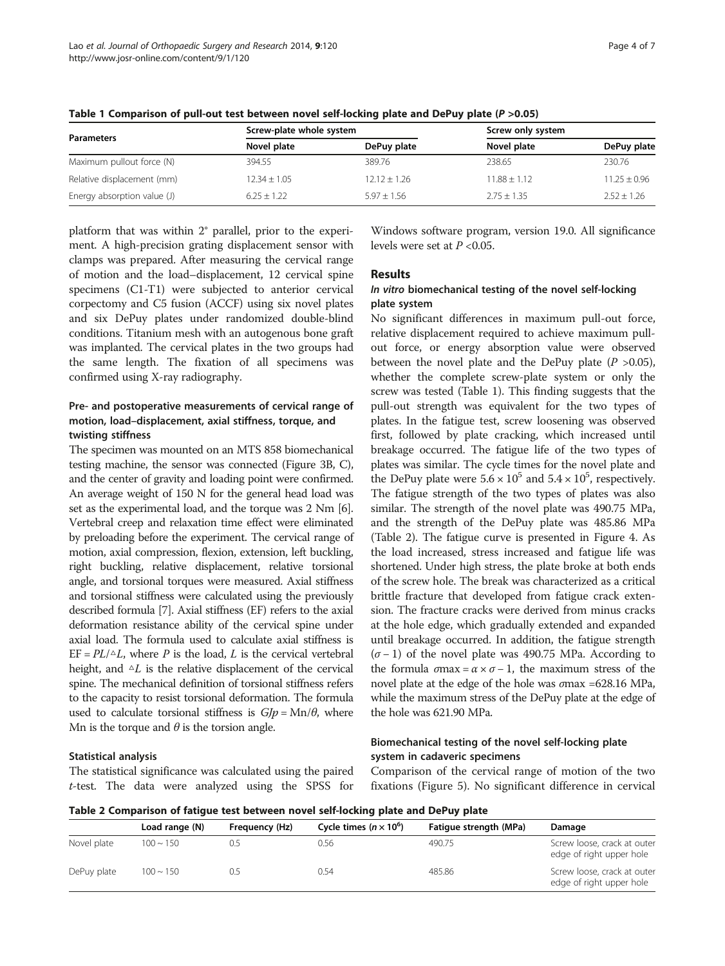| <b>Parameters</b>           | Screw-plate whole system |                  | Screw only system |                  |
|-----------------------------|--------------------------|------------------|-------------------|------------------|
|                             | Novel plate              | DePuy plate      | Novel plate       | DePuy plate      |
| Maximum pullout force (N)   | 394.55                   | 389.76           | 238.65            | 230.76           |
| Relative displacement (mm)  | $12.34 \pm 1.05$         | $12.12 \pm 1.26$ | $11.88 \pm 1.12$  | $11.25 \pm 0.96$ |
| Energy absorption value (J) | $6.25 + 1.22$            | $5.97 \pm 1.56$  | $2.75 \pm 1.35$   | $2.52 + 1.26$    |

Table 1 Comparison of pull-out test between novel self-locking plate and DePuy plate (P > 0.05)

platform that was within 2° parallel, prior to the experiment. A high-precision grating displacement sensor with clamps was prepared. After measuring the cervical range of motion and the load–displacement, 12 cervical spine specimens (C1-T1) were subjected to anterior cervical corpectomy and C5 fusion (ACCF) using six novel plates and six DePuy plates under randomized double-blind conditions. Titanium mesh with an autogenous bone graft was implanted. The cervical plates in the two groups had the same length. The fixation of all specimens was confirmed using X-ray radiography.

## Pre- and postoperative measurements of cervical range of motion, load–displacement, axial stiffness, torque, and twisting stiffness

The specimen was mounted on an MTS 858 biomechanical testing machine, the sensor was connected (Figure [3B](#page-2-0), C), and the center of gravity and loading point were confirmed. An average weight of 150 N for the general head load was set as the experimental load, and the torque was 2 Nm [[6](#page-6-0)]. Vertebral creep and relaxation time effect were eliminated by preloading before the experiment. The cervical range of motion, axial compression, flexion, extension, left buckling, right buckling, relative displacement, relative torsional angle, and torsional torques were measured. Axial stiffness and torsional stiffness were calculated using the previously described formula [\[7\]](#page-6-0). Axial stiffness (EF) refers to the axial deformation resistance ability of the cervical spine under axial load. The formula used to calculate axial stiffness is  $EF = PL/\Delta L$ , where P is the load, L is the cervical vertebral height, and  $\Delta L$  is the relative displacement of the cervical spine. The mechanical definition of torsional stiffness refers to the capacity to resist torsional deformation. The formula used to calculate torsional stiffness is  $G/p = Mn/\theta$ , where Mn is the torque and  $\theta$  is the torsion angle.

#### Statistical analysis

The statistical significance was calculated using the paired t-test. The data were analyzed using the SPSS for

Windows software program, version 19.0. All significance levels were set at  $P < 0.05$ .

## Results

## In vitro biomechanical testing of the novel self-locking plate system

No significant differences in maximum pull-out force, relative displacement required to achieve maximum pullout force, or energy absorption value were observed between the novel plate and the DePuy plate  $(P > 0.05)$ , whether the complete screw-plate system or only the screw was tested (Table 1). This finding suggests that the pull-out strength was equivalent for the two types of plates. In the fatigue test, screw loosening was observed first, followed by plate cracking, which increased until breakage occurred. The fatigue life of the two types of plates was similar. The cycle times for the novel plate and the DePuy plate were  $5.6 \times 10^5$  and  $5.4 \times 10^5$ , respectively. The fatigue strength of the two types of plates was also similar. The strength of the novel plate was 490.75 MPa, and the strength of the DePuy plate was 485.86 MPa (Table 2). The fatigue curve is presented in Figure [4.](#page-2-0) As the load increased, stress increased and fatigue life was shortened. Under high stress, the plate broke at both ends of the screw hole. The break was characterized as a critical brittle fracture that developed from fatigue crack extension. The fracture cracks were derived from minus cracks at the hole edge, which gradually extended and expanded until breakage occurred. In addition, the fatigue strength  $(\sigma - 1)$  of the novel plate was 490.75 MPa. According to the formula  $\sigma$ max =  $\alpha \times \sigma$  – 1, the maximum stress of the novel plate at the edge of the hole was σmax =628.16 MPa, while the maximum stress of the DePuy plate at the edge of the hole was 621.90 MPa.

### Biomechanical testing of the novel self-locking plate system in cadaveric specimens

Comparison of the cervical range of motion of the two fixations (Figure [5\)](#page-4-0). No significant difference in cervical

Table 2 Comparison of fatigue test between novel self-locking plate and DePuy plate

|             | Load range (N) | Frequency (Hz) | Cycle times ( $n \times 10^6$ ) | Fatique strength (MPa) | Damage                                                  |
|-------------|----------------|----------------|---------------------------------|------------------------|---------------------------------------------------------|
| Novel plate | $100 \sim 150$ |                | 0.56                            | 490.75                 | Screw loose, crack at outer<br>edge of right upper hole |
| DePuy plate | $100 \sim 150$ | U.5            | 0.54                            | 485.86                 | Screw loose, crack at outer<br>edge of right upper hole |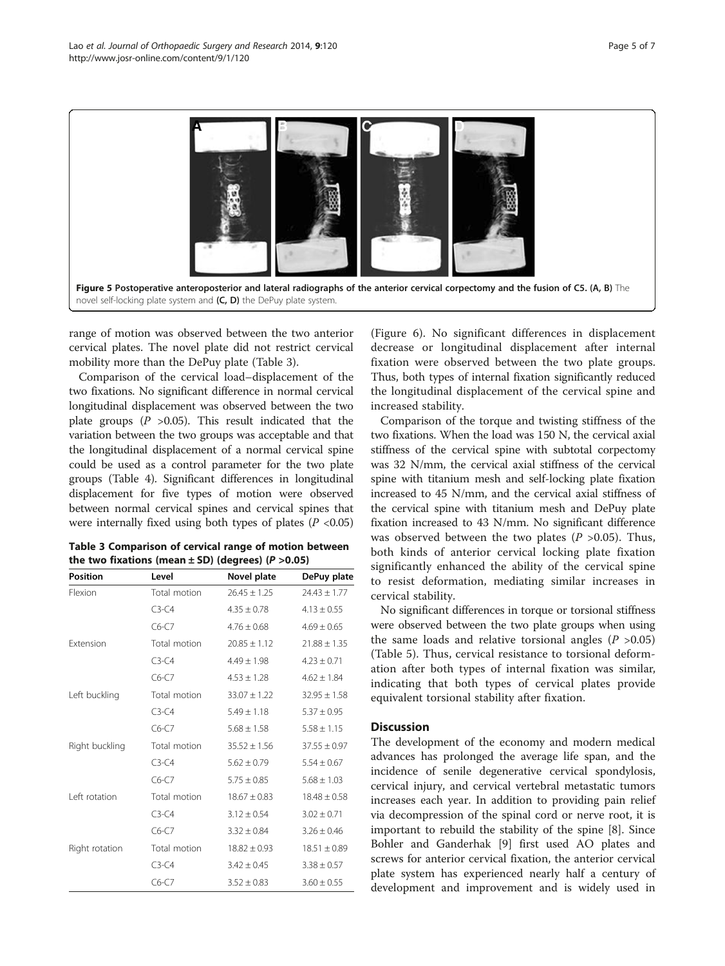<span id="page-4-0"></span>

range of motion was observed between the two anterior cervical plates. The novel plate did not restrict cervical mobility more than the DePuy plate (Table 3).

Comparison of the cervical load–displacement of the two fixations. No significant difference in normal cervical longitudinal displacement was observed between the two plate groups  $(P > 0.05)$ . This result indicated that the variation between the two groups was acceptable and that the longitudinal displacement of a normal cervical spine could be used as a control parameter for the two plate groups (Table [4](#page-5-0)). Significant differences in longitudinal displacement for five types of motion were observed between normal cervical spines and cervical spines that were internally fixed using both types of plates  $(P \le 0.05)$ 

| Table 3 Comparison of cervical range of motion between |  |
|--------------------------------------------------------|--|
| the two fixations (mean $\pm$ SD) (degrees) (P > 0.05) |  |

| <b>Position</b>  | Level        | Novel plate      | DePuy plate      |
|------------------|--------------|------------------|------------------|
| Flexion          | Total motion | $26.45 \pm 1.25$ | $74.43 + 1.77$   |
|                  | $C3-C4$      | $4.35 \pm 0.78$  | $4.13 \pm 0.55$  |
|                  | $C6-C7$      | $4.76 + 0.68$    | $4.69 \pm 0.65$  |
| <b>Fxtension</b> | Total motion | $20.85 \pm 1.12$ | $21.88 \pm 1.35$ |
|                  | $C3-C4$      | $4.49 \pm 1.98$  | $4.23 \pm 0.71$  |
|                  | $C6-C7$      | $4.53 \pm 1.28$  | $4.62 + 1.84$    |
| Left buckling    | Total motion | $33.07 \pm 1.22$ | $32.95 \pm 1.58$ |
|                  | $C3-C4$      | $5.49 \pm 1.18$  | $5.37 \pm 0.95$  |
|                  | $C6-C7$      | $5.68 + 1.58$    | $5.58 \pm 1.15$  |
| Right buckling   | Total motion | $35.52 \pm 1.56$ | $37.55 \pm 0.97$ |
|                  | $C3-C4$      | $5.62 + 0.79$    | $5.54 \pm 0.67$  |
|                  | $C6-C7$      | $5.75 \pm 0.85$  | $5.68 \pm 1.03$  |
| Left rotation    | Total motion | $18.67 \pm 0.83$ | $18.48 \pm 0.58$ |
|                  | $C3-C4$      | $3.12 \pm 0.54$  | $3.02 \pm 0.71$  |
|                  | $C6-C7$      | $3.32 \pm 0.84$  | $3.26 \pm 0.46$  |
| Right rotation   | Total motion | $18.82 \pm 0.93$ | $18.51 \pm 0.89$ |
|                  | $C3-C4$      | $3.42 \pm 0.45$  | $3.38 \pm 0.57$  |
|                  | $C6-C7$      | $3.52 \pm 0.83$  | $3.60 \pm 0.55$  |

(Figure [6](#page-5-0)). No significant differences in displacement decrease or longitudinal displacement after internal fixation were observed between the two plate groups. Thus, both types of internal fixation significantly reduced the longitudinal displacement of the cervical spine and increased stability.

Comparison of the torque and twisting stiffness of the two fixations. When the load was 150 N, the cervical axial stiffness of the cervical spine with subtotal corpectomy was 32 N/mm, the cervical axial stiffness of the cervical spine with titanium mesh and self-locking plate fixation increased to 45 N/mm, and the cervical axial stiffness of the cervical spine with titanium mesh and DePuy plate fixation increased to 43 N/mm. No significant difference was observed between the two plates  $(P > 0.05)$ . Thus, both kinds of anterior cervical locking plate fixation significantly enhanced the ability of the cervical spine to resist deformation, mediating similar increases in cervical stability.

No significant differences in torque or torsional stiffness were observed between the two plate groups when using the same loads and relative torsional angles  $(P > 0.05)$ (Table [5\)](#page-5-0). Thus, cervical resistance to torsional deformation after both types of internal fixation was similar, indicating that both types of cervical plates provide equivalent torsional stability after fixation.

#### **Discussion**

The development of the economy and modern medical advances has prolonged the average life span, and the incidence of senile degenerative cervical spondylosis, cervical injury, and cervical vertebral metastatic tumors increases each year. In addition to providing pain relief via decompression of the spinal cord or nerve root, it is important to rebuild the stability of the spine [[8\]](#page-6-0). Since Bohler and Ganderhak [[9\]](#page-6-0) first used AO plates and screws for anterior cervical fixation, the anterior cervical plate system has experienced nearly half a century of development and improvement and is widely used in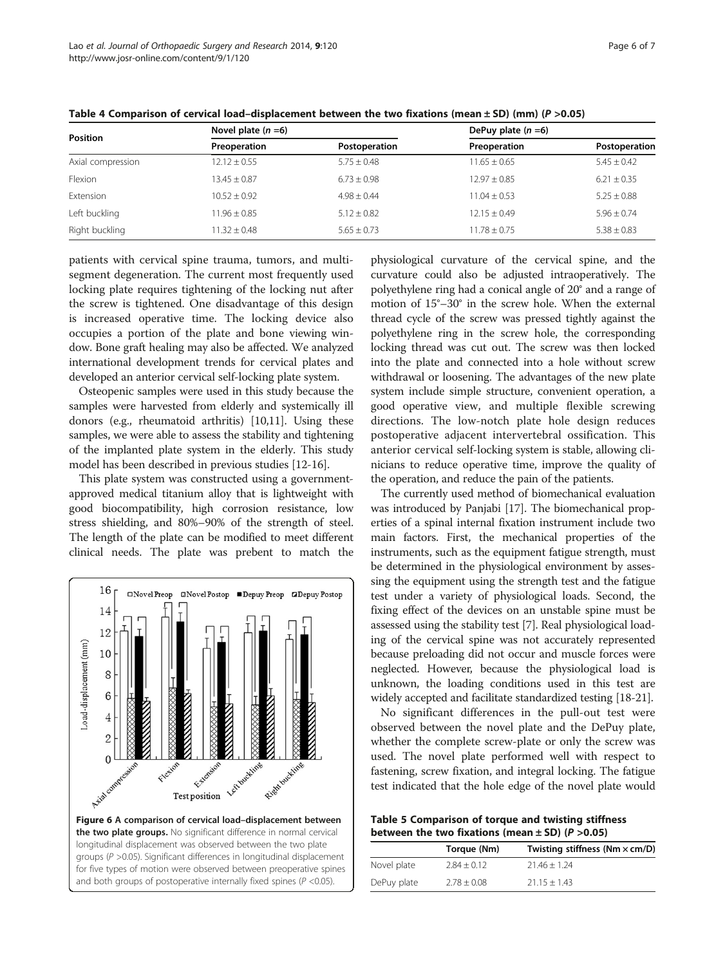| <b>Position</b>   | Novel plate $(n=6)$ |                 |                | DePuy plate $(n=6)$ |  |
|-------------------|---------------------|-----------------|----------------|---------------------|--|
|                   | Preoperation        | Postoperation   | Preoperation   | Postoperation       |  |
| Axial compression | $12.12 + 0.55$      | $5.75 + 0.48$   | $11.65 + 0.65$ | $5.45 + 0.42$       |  |
| Flexion           | $13.45 + 0.87$      | $6.73 + 0.98$   | $12.97 + 0.85$ | $6.21 + 0.35$       |  |
| Extension         | $10.52 + 0.92$      | $4.98 + 0.44$   | $11.04 + 0.53$ | $5.25 \pm 0.88$     |  |
| Left buckling     | $1.96 + 0.85$       | $5.12 + 0.82$   | $12.15 + 0.49$ | $5.96 + 0.74$       |  |
| Right buckling    | $1.32 + 0.48$       | $5.65 \pm 0.73$ | $11.78 + 0.75$ | $5.38 \pm 0.83$     |  |

<span id="page-5-0"></span>Table 4 Comparison of cervical load-displacement between the two fixations (mean  $\pm$  SD) (mm) (P >0.05)

patients with cervical spine trauma, tumors, and multisegment degeneration. The current most frequently used locking plate requires tightening of the locking nut after the screw is tightened. One disadvantage of this design is increased operative time. The locking device also occupies a portion of the plate and bone viewing window. Bone graft healing may also be affected. We analyzed international development trends for cervical plates and developed an anterior cervical self-locking plate system.

Osteopenic samples were used in this study because the samples were harvested from elderly and systemically ill donors (e.g., rheumatoid arthritis) [\[10,11](#page-6-0)]. Using these samples, we were able to assess the stability and tightening of the implanted plate system in the elderly. This study model has been described in previous studies [[12-16\]](#page-6-0).

This plate system was constructed using a governmentapproved medical titanium alloy that is lightweight with good biocompatibility, high corrosion resistance, low stress shielding, and 80%–90% of the strength of steel. The length of the plate can be modified to meet different clinical needs. The plate was prebent to match the



longitudinal displacement was observed between the two plate groups (P >0.05). Significant differences in longitudinal displacement for five types of motion were observed between preoperative spines and both groups of postoperative internally fixed spines ( $P$  <0.05).

physiological curvature of the cervical spine, and the curvature could also be adjusted intraoperatively. The polyethylene ring had a conical angle of 20° and a range of motion of 15°–30° in the screw hole. When the external thread cycle of the screw was pressed tightly against the polyethylene ring in the screw hole, the corresponding locking thread was cut out. The screw was then locked into the plate and connected into a hole without screw withdrawal or loosening. The advantages of the new plate system include simple structure, convenient operation, a good operative view, and multiple flexible screwing directions. The low-notch plate hole design reduces postoperative adjacent intervertebral ossification. This anterior cervical self-locking system is stable, allowing clinicians to reduce operative time, improve the quality of the operation, and reduce the pain of the patients.

The currently used method of biomechanical evaluation was introduced by Panjabi [\[17\]](#page-6-0). The biomechanical properties of a spinal internal fixation instrument include two main factors. First, the mechanical properties of the instruments, such as the equipment fatigue strength, must be determined in the physiological environment by assessing the equipment using the strength test and the fatigue test under a variety of physiological loads. Second, the fixing effect of the devices on an unstable spine must be assessed using the stability test [\[7](#page-6-0)]. Real physiological loading of the cervical spine was not accurately represented because preloading did not occur and muscle forces were neglected. However, because the physiological load is unknown, the loading conditions used in this test are widely accepted and facilitate standardized testing [\[18-21\]](#page-6-0).

No significant differences in the pull-out test were observed between the novel plate and the DePuy plate, whether the complete screw-plate or only the screw was used. The novel plate performed well with respect to fastening, screw fixation, and integral locking. The fatigue test indicated that the hole edge of the novel plate would

Table 5 Comparison of torque and twisting stiffness between the two fixations (mean  $\pm$  SD) (P > 0.05)

|             | Torque (Nm)   | Twisting stiffness ( $Nm \times cm/D$ ) |
|-------------|---------------|-----------------------------------------|
| Novel plate | $2.84 + 0.12$ | $21.46 + 1.24$                          |
| DePuy plate | $2.78 + 0.08$ | $21.15 + 1.43$                          |